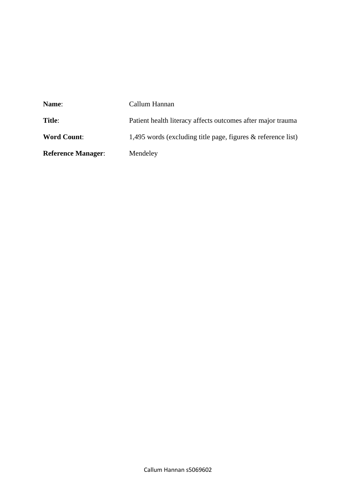| Name:                     | Callum Hannan                                                   |  |  |  |  |
|---------------------------|-----------------------------------------------------------------|--|--|--|--|
| <b>Title:</b>             | Patient health literacy affects outcomes after major trauma     |  |  |  |  |
| <b>Word Count:</b>        | 1,495 words (excluding title page, figures $\&$ reference list) |  |  |  |  |
| <b>Reference Manager:</b> | Mendeley                                                        |  |  |  |  |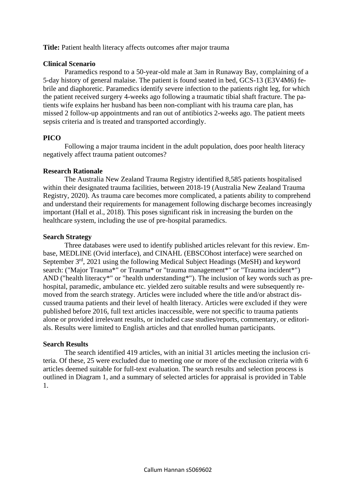**Title:** Patient health literacy affects outcomes after major trauma

# **Clinical Scenario**

Paramedics respond to a 50-year-old male at 3am in Runaway Bay, complaining of a 5-day history of general malaise. The patient is found seated in bed, GCS-13 (E3V4M6) febrile and diaphoretic. Paramedics identify severe infection to the patients right leg, for which the patient received surgery 4-weeks ago following a traumatic tibial shaft fracture. The patients wife explains her husband has been non-compliant with his trauma care plan, has missed 2 follow-up appointments and ran out of antibiotics 2-weeks ago. The patient meets sepsis criteria and is treated and transported accordingly.

## **PICO**

Following a major trauma incident in the adult population, does poor health literacy negatively affect trauma patient outcomes?

## **Research Rationale**

The Australia New Zealand Trauma Registry identified 8,585 patients hospitalised within their designated trauma facilities, between 2018-19 (Australia New Zealand Trauma Registry, 2020). As trauma care becomes more complicated, a patients ability to comprehend and understand their requirements for management following discharge becomes increasingly important (Hall et al., 2018). This poses significant risk in increasing the burden on the healthcare system, including the use of pre-hospital paramedics.

### **Search Strategy**

Three databases were used to identify published articles relevant for this review. Embase, MEDLINE (Ovid interface), and CINAHL (EBSCOhost interface) were searched on September  $3<sup>rd</sup>$ , 2021 using the following Medical Subject Headings (MeSH) and keyword search: ("Major Trauma\*" or Trauma\* or "trauma management\*" or "Trauma incident\*") AND ("health literacy\*" or "health understanding\*"). The inclusion of key words such as prehospital, paramedic, ambulance etc. yielded zero suitable results and were subsequently removed from the search strategy. Articles were included where the title and/or abstract discussed trauma patients and their level of health literacy. Articles were excluded if they were published before 2016, full text articles inaccessible, were not specific to trauma patients alone or provided irrelevant results, or included case studies/reports, commentary, or editorials. Results were limited to English articles and that enrolled human participants.

## **Search Results**

The search identified 419 articles, with an initial 31 articles meeting the inclusion criteria. Of these, 25 were excluded due to meeting one or more of the exclusion criteria with 6 articles deemed suitable for full-text evaluation. The search results and selection process is outlined in Diagram 1, and a summary of selected articles for appraisal is provided in Table 1.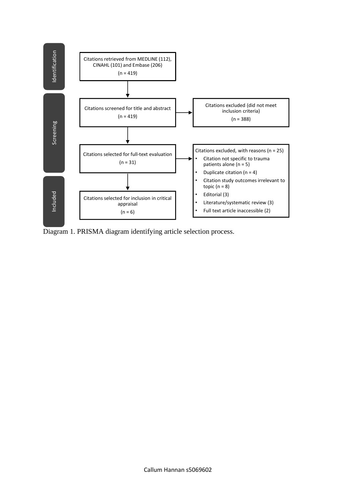

Diagram 1. PRISMA diagram identifying article selection process.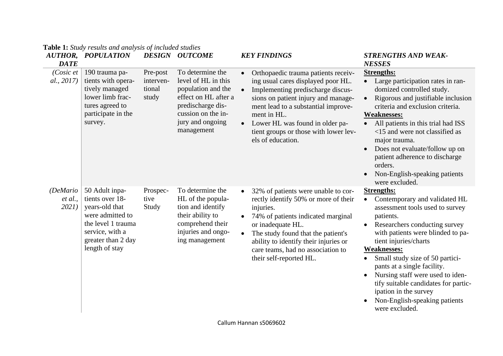| AUTHOR,<br><b>DATE</b>       | <b>POPULATION</b>                                                                                                                                        |                                          | <b>DESIGN OUTCOME</b>                                                                                                                                              | <b>KEY FINDINGS</b>                                                                                                                                                                                                                                                                                                                                 | <b>STRENGTHS AND WEAK-</b><br><b>NESSES</b>                                                                                                                                                                                                                                                                                                                                                                                                                                 |
|------------------------------|----------------------------------------------------------------------------------------------------------------------------------------------------------|------------------------------------------|--------------------------------------------------------------------------------------------------------------------------------------------------------------------|-----------------------------------------------------------------------------------------------------------------------------------------------------------------------------------------------------------------------------------------------------------------------------------------------------------------------------------------------------|-----------------------------------------------------------------------------------------------------------------------------------------------------------------------------------------------------------------------------------------------------------------------------------------------------------------------------------------------------------------------------------------------------------------------------------------------------------------------------|
| $(Cosic$ et<br>al., 2017)    | 190 trauma pa-<br>tients with opera-<br>tively managed<br>lower limb frac-<br>tures agreed to<br>participate in the<br>survey.                           | Pre-post<br>interven-<br>tional<br>study | To determine the<br>level of HL in this<br>population and the<br>effect on HL after a<br>predischarge dis-<br>cussion on the in-<br>jury and ongoing<br>management | Orthopaedic trauma patients receiv-<br>$\bullet$<br>ing usual cares displayed poor HL.<br>Implementing predischarge discus-<br>$\bullet$<br>sions on patient injury and manage-<br>ment lead to a substantial improve-<br>ment in HL.<br>Lower HL was found in older pa-<br>$\bullet$<br>tient groups or those with lower lev-<br>els of education. | <b>Strengths:</b><br>• Large participation rates in ran-<br>domized controlled study.<br>Rigorous and justifiable inclusion<br>$\bullet$<br>criteria and exclusion criteria.<br><b>Weaknesses:</b><br>• All patients in this trial had ISS<br><15 and were not classified as<br>major trauma.<br>Does not evaluate/follow up on<br>patient adherence to discharge<br>orders.<br>Non-English-speaking patients<br>were excluded.                                             |
| (DeMario<br>et al.,<br>2021) | 50 Adult inpa-<br>tients over 18-<br>years-old that<br>were admitted to<br>the level 1 trauma<br>service, with a<br>greater than 2 day<br>length of stay | Prospec-<br>tive<br>Study                | To determine the<br>HL of the popula-<br>tion and identify<br>their ability to<br>comprehend their<br>injuries and ongo-<br>ing management                         | 32% of patients were unable to cor-<br>$\bullet$<br>rectly identify 50% or more of their<br>injuries.<br>74% of patients indicated marginal<br>$\bullet$<br>or inadequate HL.<br>The study found that the patient's<br>$\bullet$<br>ability to identify their injuries or<br>care teams, had no association to<br>their self-reported HL.           | <b>Strengths:</b><br>Contemporary and validated HL<br>$\bullet$<br>assessment tools used to survey<br>patients.<br>Researchers conducting survey<br>$\bullet$<br>with patients were blinded to pa-<br>tient injuries/charts<br><b>Weaknesses:</b><br>Small study size of 50 partici-<br>pants at a single facility.<br>Nursing staff were used to iden-<br>tify suitable candidates for partic-<br>ipation in the survey<br>Non-English-speaking patients<br>were excluded. |

# **Table 1:** *Study results and analysis of included studies*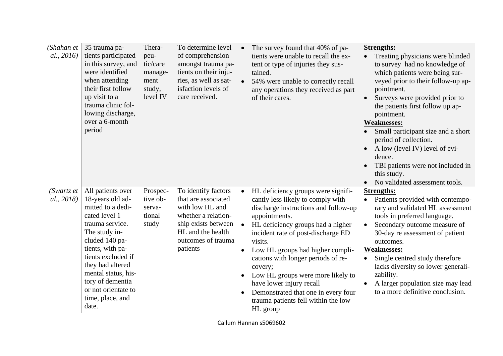| (Shahan et<br>al., 2016)   | 35 trauma pa-<br>tients participated<br>in this survey, and<br>were identified<br>when attending<br>their first follow<br>up visit to a<br>trauma clinic fol-<br>lowing discharge,<br>over a 6-month<br>period                                                                                 | Thera-<br>peu-<br>tic/care<br>manage-<br>ment<br>study,<br>level IV | To determine level<br>of comprehension<br>amongst trauma pa-<br>tients on their inju-<br>ries, as well as sat-<br>isfaction levels of<br>care received.            | $\bullet$ | The survey found that 40% of pa-<br>tients were unable to recall the ex-<br>tent or type of injuries they sus-<br>tained.<br>54% were unable to correctly recall<br>any operations they received as part<br>of their cares.                                                                                                                                                                                                                                            | $\bullet$ | <b>Strengths:</b><br>Treating physicians were blinded<br>to survey had no knowledge of<br>which patients were being sur-<br>veyed prior to their follow-up ap-<br>pointment.<br>Surveys were provided prior to<br>the patients first follow up ap-<br>pointment.<br><b>Weaknesses:</b><br>Small participant size and a short<br>period of collection.<br>A low (level IV) level of evi-<br>dence.<br>TBI patients were not included in<br>this study.<br>No validated assessment tools. |
|----------------------------|------------------------------------------------------------------------------------------------------------------------------------------------------------------------------------------------------------------------------------------------------------------------------------------------|---------------------------------------------------------------------|--------------------------------------------------------------------------------------------------------------------------------------------------------------------|-----------|------------------------------------------------------------------------------------------------------------------------------------------------------------------------------------------------------------------------------------------------------------------------------------------------------------------------------------------------------------------------------------------------------------------------------------------------------------------------|-----------|-----------------------------------------------------------------------------------------------------------------------------------------------------------------------------------------------------------------------------------------------------------------------------------------------------------------------------------------------------------------------------------------------------------------------------------------------------------------------------------------|
| (Swartz, et)<br>al., 2018) | All patients over<br>18-years old ad-<br>mitted to a dedi-<br>cated level 1<br>trauma service.<br>The study in-<br>cluded 140 pa-<br>tients, with pa-<br>tients excluded if<br>they had altered<br>mental status, his-<br>tory of dementia<br>or not orientate to<br>time, place, and<br>date. | Prospec-<br>tive ob-<br>serva-<br>tional<br>study                   | To identify factors<br>that are associated<br>with low HL and<br>whether a relation-<br>ship exists between<br>HL and the health<br>outcomes of trauma<br>patients | $\bullet$ | HL deficiency groups were signifi-<br>cantly less likely to comply with<br>discharge instructions and follow-up<br>appointments.<br>HL deficiency groups had a higher<br>incident rate of post-discharge ED<br>visits.<br>Low HL groups had higher compli-<br>cations with longer periods of re-<br>covery;<br>Low HL groups were more likely to<br>have lower injury recall<br>Demonstrated that one in every four<br>trauma patients fell within the low<br>HL group | $\bullet$ | <b>Strengths:</b><br>Patients provided with contempo-<br>rary and validated HL assessment<br>tools in preferred language.<br>Secondary outcome measure of<br>30-day re assessment of patient<br>outcomes.<br><b>Weaknesses:</b><br>Single centred study therefore<br>lacks diversity so lower generali-<br>zability.<br>A larger population size may lead<br>to a more definitive conclusion.                                                                                           |

Callum Hannan s5069602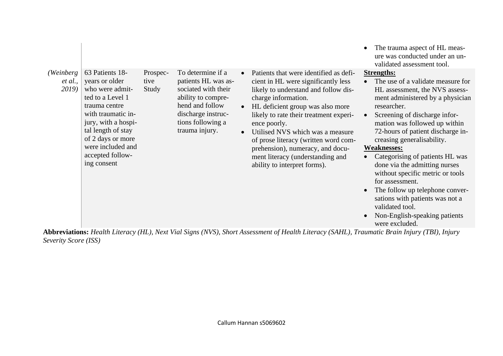| (Weinberg)       | 63 Patients 18-                                                                                                                                                                                                        | Prospec-      | To determine if a                                                                                                                                | $\bullet$              | Patients that were identified as defi-                                                                                                                                                                                                                                                                                                                                               | $\bullet$                           | The trauma aspect of HL meas-<br>ure was conducted under an un-<br>validated assessment tool.<br><b>Strengths:</b>                                                                                                                                                                                                                                                                                                                                                                                                                                       |
|------------------|------------------------------------------------------------------------------------------------------------------------------------------------------------------------------------------------------------------------|---------------|--------------------------------------------------------------------------------------------------------------------------------------------------|------------------------|--------------------------------------------------------------------------------------------------------------------------------------------------------------------------------------------------------------------------------------------------------------------------------------------------------------------------------------------------------------------------------------|-------------------------------------|----------------------------------------------------------------------------------------------------------------------------------------------------------------------------------------------------------------------------------------------------------------------------------------------------------------------------------------------------------------------------------------------------------------------------------------------------------------------------------------------------------------------------------------------------------|
| et al.,<br>2019) | years or older<br>who were admit-<br>ted to a Level 1<br>trauma centre<br>with traumatic in-<br>jury, with a hospi-<br>tal length of stay<br>of 2 days or more<br>were included and<br>accepted follow-<br>ing consent | tive<br>Study | patients HL was as-<br>sociated with their<br>ability to compre-<br>hend and follow<br>discharge instruc-<br>tions following a<br>trauma injury. | $\bullet$<br>$\bullet$ | cient in HL were significantly less<br>likely to understand and follow dis-<br>charge information.<br>HL deficient group was also more<br>likely to rate their treatment experi-<br>ence poorly.<br>Utilised NVS which was a measure<br>of prose literacy (written word com-<br>prehension), numeracy, and docu-<br>ment literacy (understanding and<br>ability to interpret forms). | $\bullet$<br>$\bullet$<br>$\bullet$ | The use of a validate measure for<br>HL assessment, the NVS assess-<br>ment administered by a physician<br>researcher.<br>Screening of discharge infor-<br>mation was followed up within<br>72-hours of patient discharge in-<br>creasing generalisability.<br><b>Weaknesses:</b><br>Categorising of patients HL was<br>done via the admitting nurses<br>without specific metric or tools<br>for assessment.<br>The follow up telephone conver-<br>sations with patients was not a<br>validated tool.<br>Non-English-speaking patients<br>were excluded. |

**Abbreviations:** *Health Literacy (HL), Next Vial Signs (NVS), Short Assessment of Health Literacy (SAHL), Traumatic Brain Injury (TBI), Injury Severity Score (ISS)*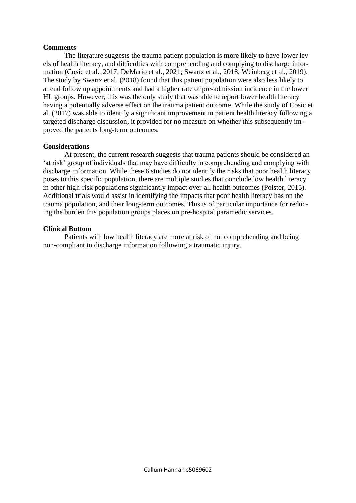## **Comments**

The literature suggests the trauma patient population is more likely to have lower levels of health literacy, and difficulties with comprehending and complying to discharge information (Cosic et al., 2017; DeMario et al., 2021; Swartz et al., 2018; Weinberg et al., 2019). The study by Swartz et al. (2018) found that this patient population were also less likely to attend follow up appointments and had a higher rate of pre-admission incidence in the lower HL groups. However, this was the only study that was able to report lower health literacy having a potentially adverse effect on the trauma patient outcome. While the study of Cosic et al. (2017) was able to identify a significant improvement in patient health literacy following a targeted discharge discussion, it provided for no measure on whether this subsequently improved the patients long-term outcomes.

### **Considerations**

At present, the current research suggests that trauma patients should be considered an 'at risk' group of individuals that may have difficulty in comprehending and complying with discharge information. While these 6 studies do not identify the risks that poor health literacy poses to this specific population, there are multiple studies that conclude low health literacy in other high-risk populations significantly impact over-all health outcomes (Polster, 2015). Additional trials would assist in identifying the impacts that poor health literacy has on the trauma population, and their long-term outcomes. This is of particular importance for reducing the burden this population groups places on pre-hospital paramedic services.

### **Clinical Bottom**

Patients with low health literacy are more at risk of not comprehending and being non-compliant to discharge information following a traumatic injury.